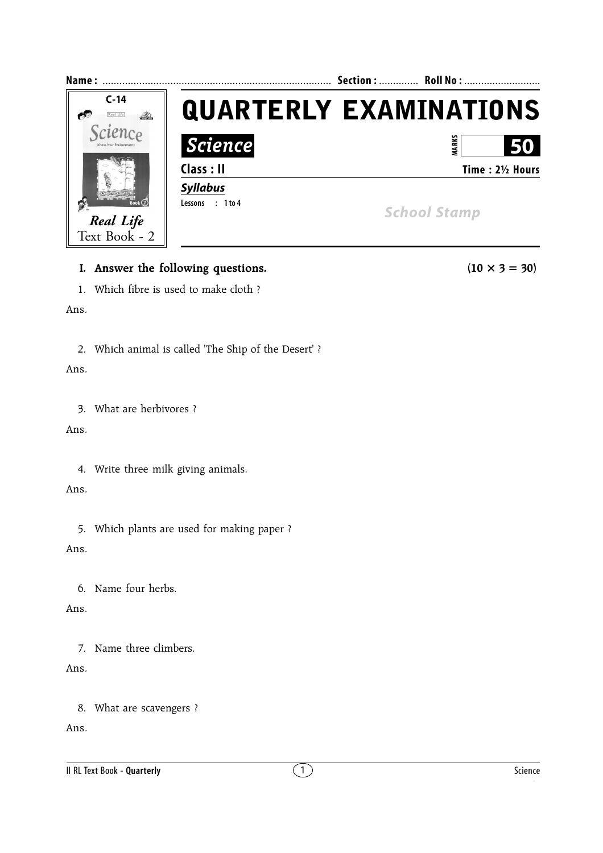

#### **I.** Answer the following questions. (10  $\times$  3 = 30)

1. Which fibre is used to make cloth ?

#### Ans.

2. Which animal is called 'The Ship of the Desert' ?

#### Ans.

3. What are herbivores ?

#### Ans.

4. Write three milk giving animals.

## Ans.

5. Which plants are used for making paper ?

## Ans.

6. Name four herbs.

## Ans.

7. Name three climbers.

## Ans.

8. What are scavengers ?

Ans.